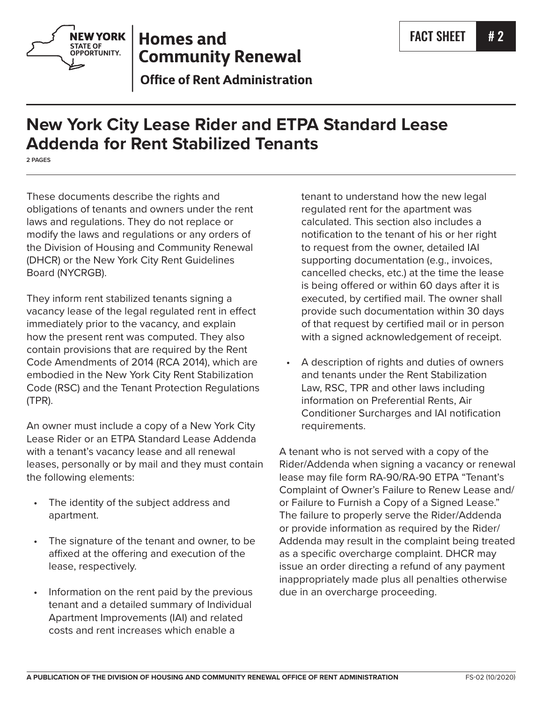



## **Homes and Community Renewal**

**Office of Rent Administration** 

# **New York City Lease Rider and ETPA Standard Lease Addenda for Rent Stabilized Tenants**

**2 PAGES**

These documents describe the rights and obligations of tenants and owners under the rent laws and regulations. They do not replace or modify the laws and regulations or any orders of the Division of Housing and Community Renewal (DHCR) or the New York City Rent Guidelines Board (NYCRGB).

They inform rent stabilized tenants signing a vacancy lease of the legal regulated rent in effect immediately prior to the vacancy, and explain how the present rent was computed. They also contain provisions that are required by the Rent Code Amendments of 2014 (RCA 2014), which are embodied in the New York City Rent Stabilization Code (RSC) and the Tenant Protection Regulations (TPR).

An owner must include a copy of a New York City Lease Rider or an ETPA Standard Lease Addenda with a tenant's vacancy lease and all renewal leases, personally or by mail and they must contain the following elements:

- The identity of the subject address and apartment.
- The signature of the tenant and owner, to be affixed at the offering and execution of the lease, respectively.
- Information on the rent paid by the previous tenant and a detailed summary of Individual Apartment Improvements (IAI) and related costs and rent increases which enable a

tenant to understand how the new legal regulated rent for the apartment was calculated. This section also includes a notification to the tenant of his or her right to request from the owner, detailed IAI supporting documentation (e.g., invoices, cancelled checks, etc.) at the time the lease is being offered or within 60 days after it is executed, by certified mail. The owner shall provide such documentation within 30 days of that request by certified mail or in person with a signed acknowledgement of receipt.

• A description of rights and duties of owners and tenants under the Rent Stabilization Law, RSC, TPR and other laws including information on Preferential Rents, Air Conditioner Surcharges and IAI notification requirements.

A tenant who is not served with a copy of the Rider/Addenda when signing a vacancy or renewal lease may file form RA-90/RA-90 ETPA "Tenant's Complaint of Owner's Failure to Renew Lease and/ or Failure to Furnish a Copy of a Signed Lease." The failure to properly serve the Rider/Addenda or provide information as required by the Rider/ Addenda may result in the complaint being treated as a specific overcharge complaint. DHCR may issue an order directing a refund of any payment inappropriately made plus all penalties otherwise due in an overcharge proceeding.